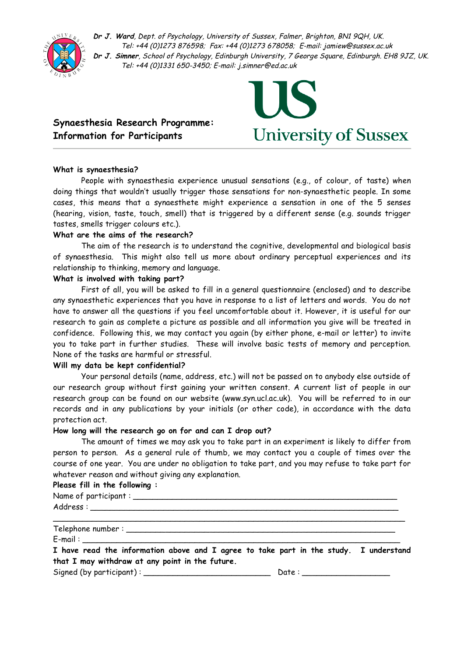

**Dr J. Ward**, Dept. of Psychology, University of Sussex, Falmer, Brighton, BN1 9QH, UK. Tel: +44 (0)1273 876598; Fax: +44 (0)1273 678058; E-mail: jamiew@sussex.ac.uk **Dr J. Simner**, School of Psychology, Edinburgh University, 7 George Square, Edinburgh. EH8 9JZ, UK. Tel: +44 (0)1331 650-3450; E-mail: j.simner@ed.ac.uk

## **Synaesthesia Research Programme: Information for Participants**



#### **What is synaesthesia?**

People with synaesthesia experience unusual sensations (e.g., of colour, of taste) when doing things that wouldn't usually trigger those sensations for non-synaesthetic people. In some cases, this means that a synaesthete might experience a sensation in one of the 5 senses (hearing, vision, taste, touch, smell) that is triggered by a different sense (e.g. sounds trigger tastes, smells trigger colours etc.).

#### **What are the aims of the research?**

The aim of the research is to understand the cognitive, developmental and biological basis of synaesthesia. This might also tell us more about ordinary perceptual experiences and its relationship to thinking, memory and language.

#### **What is involved with taking part?**

First of all, you will be asked to fill in a general questionnaire (enclosed) and to describe any synaesthetic experiences that you have in response to a list of letters and words. You do not have to answer all the questions if you feel uncomfortable about it. However, it is useful for our research to gain as complete a picture as possible and all information you give will be treated in confidence. Following this, we may contact you again (by either phone, e-mail or letter) to invite you to take part in further studies. These will involve basic tests of memory and perception. None of the tasks are harmful or stressful.

#### **Will my data be kept confidential?**

Your personal details (name, address, etc.) will not be passed on to anybody else outside of our research group without first gaining your written consent. A current list of people in our research group can be found on our website (www.syn.ucl.ac.uk). You will be referred to in our records and in any publications by your initials (or other code), in accordance with the data protection act.

#### **How long will the research go on for and can I drop out?**

The amount of times we may ask you to take part in an experiment is likely to differ from person to person. As a general rule of thumb, we may contact you a couple of times over the course of one year. You are under no obligation to take part, and you may refuse to take part for whatever reason and without giving any explanation.

#### **Please fill in the following :**

Name of participant : \_\_\_\_\_\_\_\_\_\_\_\_\_\_\_\_\_\_\_\_\_\_\_\_\_\_\_\_\_\_\_\_\_\_\_\_\_\_\_\_\_\_\_\_\_\_\_\_\_\_\_\_\_\_

Address :

Telephone number : \_\_\_\_\_\_\_\_\_\_\_\_\_\_\_\_\_\_\_\_\_\_\_\_\_\_\_\_\_\_\_\_\_\_\_\_\_\_\_\_\_\_\_\_\_\_\_\_\_\_\_\_\_\_\_

 $E$ -mail :  $\Box$ 

**I have read the information above and I agree to take part in the study. I understand that I may withdraw at any point in the future.**

\_\_\_\_\_\_\_\_\_\_\_\_\_\_\_\_\_\_\_\_\_\_\_\_\_\_\_\_\_\_\_\_\_\_\_\_\_\_\_\_\_\_\_\_\_\_\_\_\_\_\_\_\_\_\_\_\_\_\_\_\_\_\_\_\_\_\_\_\_\_\_\_

Signed (by participant) : \_\_\_\_\_\_\_\_\_\_\_\_\_\_\_\_\_\_\_\_\_\_\_\_\_\_ Date : \_\_\_\_\_\_\_\_\_\_\_\_\_\_\_\_\_\_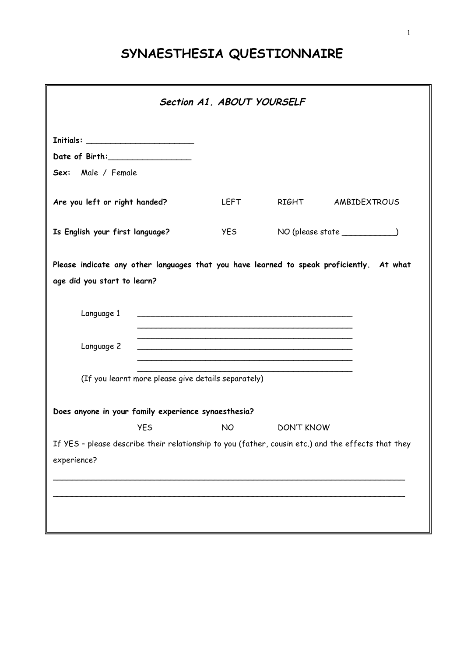# **SYNAESTHESIA QUESTIONNAIRE**

|                                                                                                                         | Section A1. ABOUT YOURSELF |                         |                                  |  |
|-------------------------------------------------------------------------------------------------------------------------|----------------------------|-------------------------|----------------------------------|--|
| Date of Birth:___________________<br>Sex: Male / Female                                                                 |                            |                         |                                  |  |
| Are you left or right handed?                                                                                           |                            | LEFT RIGHT AMBIDEXTROUS |                                  |  |
| Is English your first language?                                                                                         | <b>YES</b>                 |                         | NO (please state ______________) |  |
| Please indicate any other languages that you have learned to speak proficiently. At what<br>age did you start to learn? |                            |                         |                                  |  |
| Language 1                                                                                                              |                            |                         |                                  |  |
| Language 2                                                                                                              |                            |                         |                                  |  |
| (If you learnt more please give details separately)                                                                     |                            |                         |                                  |  |
| Does anyone in your family experience synaesthesia?                                                                     |                            |                         |                                  |  |
| <b>YES</b>                                                                                                              | <b>NO</b>                  | <b>DON'T KNOW</b>       |                                  |  |
| If YES - please describe their relationship to you (father, cousin etc.) and the effects that they<br>experience?       |                            |                         |                                  |  |
|                                                                                                                         |                            |                         |                                  |  |
|                                                                                                                         |                            |                         |                                  |  |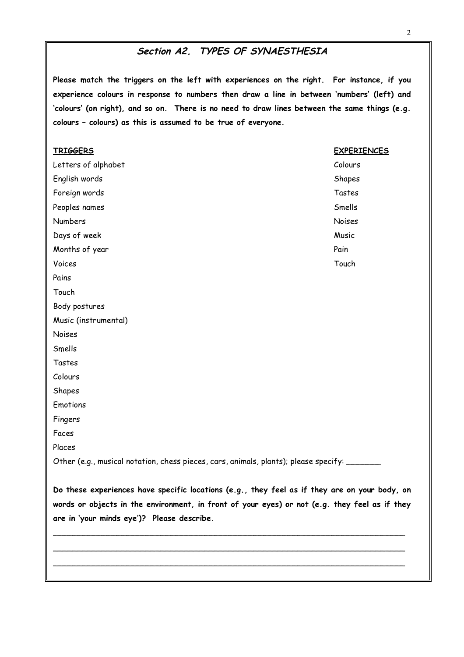## **Section A2. TYPES OF SYNAESTHESIA**

**Please match the triggers on the left with experiences on the right. For instance, if you experience colours in response to numbers then draw a line in between 'numbers' (left) and 'colours' (on right), and so on. There is no need to draw lines between the same things (e.g. colours – colours) as this is assumed to be true of everyone.**

| <b>TRIGGERS</b>                                                                        | <b>EXPERIENCES</b> |
|----------------------------------------------------------------------------------------|--------------------|
| Letters of alphabet                                                                    | Colours            |
| English words                                                                          | Shapes             |
| Foreign words                                                                          | Tastes             |
| Peoples names                                                                          | Smells             |
| Numbers                                                                                | Noises             |
| Days of week                                                                           | Music              |
| Months of year                                                                         | Pain               |
| Voices                                                                                 | Touch              |
| Pains                                                                                  |                    |
| Touch                                                                                  |                    |
| Body postures                                                                          |                    |
| Music (instrumental)                                                                   |                    |
| Noises                                                                                 |                    |
| Smells                                                                                 |                    |
| Tastes                                                                                 |                    |
| Colours                                                                                |                    |
| Shapes                                                                                 |                    |
| Emotions                                                                               |                    |
| Fingers                                                                                |                    |
| Faces                                                                                  |                    |
| Places                                                                                 |                    |
| Other (e.g., musical notation, chess pieces, cars, animals, plants); please specify: _ |                    |
|                                                                                        |                    |

**Do these experiences have specific locations (e.g., they feel as if they are on your body, on words or objects in the environment, in front of your eyes) or not (e.g. they feel as if they are in 'your minds eye')? Please describe.**

\_\_\_\_\_\_\_\_\_\_\_\_\_\_\_\_\_\_\_\_\_\_\_\_\_\_\_\_\_\_\_\_\_\_\_\_\_\_\_\_\_\_\_\_\_\_\_\_\_\_\_\_\_\_\_\_\_\_\_\_\_\_\_\_\_\_\_\_\_\_\_\_ \_\_\_\_\_\_\_\_\_\_\_\_\_\_\_\_\_\_\_\_\_\_\_\_\_\_\_\_\_\_\_\_\_\_\_\_\_\_\_\_\_\_\_\_\_\_\_\_\_\_\_\_\_\_\_\_\_\_\_\_\_\_\_\_\_\_\_\_\_\_\_\_ \_\_\_\_\_\_\_\_\_\_\_\_\_\_\_\_\_\_\_\_\_\_\_\_\_\_\_\_\_\_\_\_\_\_\_\_\_\_\_\_\_\_\_\_\_\_\_\_\_\_\_\_\_\_\_\_\_\_\_\_\_\_\_\_\_\_\_\_\_\_\_\_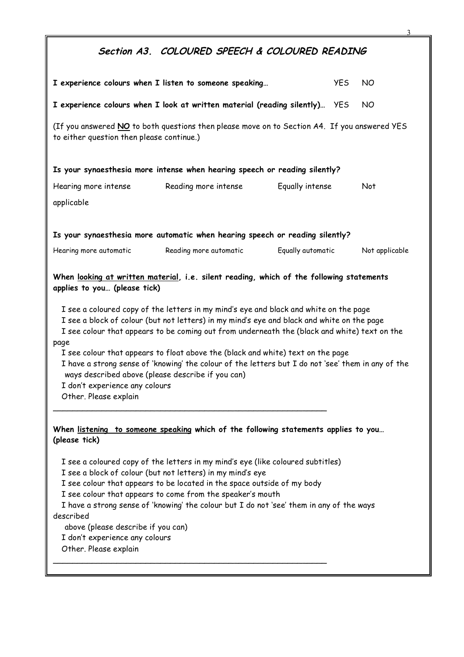## **Section A3. COLOURED SPEECH & COLOURED READING**

|                                                                                                                                                                                                                                                                                                                                                                                                                                                                                                                                                                                                                                                                                                                                  | I experience colours when I listen to someone speaking                       | <b>YES</b>        | NO.            |  |  |  |  |  |  |
|----------------------------------------------------------------------------------------------------------------------------------------------------------------------------------------------------------------------------------------------------------------------------------------------------------------------------------------------------------------------------------------------------------------------------------------------------------------------------------------------------------------------------------------------------------------------------------------------------------------------------------------------------------------------------------------------------------------------------------|------------------------------------------------------------------------------|-------------------|----------------|--|--|--|--|--|--|
| NO<br>I experience colours when I look at written material (reading silently) YES                                                                                                                                                                                                                                                                                                                                                                                                                                                                                                                                                                                                                                                |                                                                              |                   |                |  |  |  |  |  |  |
| (If you answered NO to both questions then please move on to Section A4. If you answered YES<br>to either question then please continue.)                                                                                                                                                                                                                                                                                                                                                                                                                                                                                                                                                                                        |                                                                              |                   |                |  |  |  |  |  |  |
| Is your synaesthesia more intense when hearing speech or reading silently?                                                                                                                                                                                                                                                                                                                                                                                                                                                                                                                                                                                                                                                       |                                                                              |                   |                |  |  |  |  |  |  |
| Hearing more intense                                                                                                                                                                                                                                                                                                                                                                                                                                                                                                                                                                                                                                                                                                             | Reading more intense                                                         | Equally intense   | Not            |  |  |  |  |  |  |
| applicable                                                                                                                                                                                                                                                                                                                                                                                                                                                                                                                                                                                                                                                                                                                       |                                                                              |                   |                |  |  |  |  |  |  |
|                                                                                                                                                                                                                                                                                                                                                                                                                                                                                                                                                                                                                                                                                                                                  | Is your synaesthesia more automatic when hearing speech or reading silently? |                   |                |  |  |  |  |  |  |
| Hearing more automatic                                                                                                                                                                                                                                                                                                                                                                                                                                                                                                                                                                                                                                                                                                           | Reading more automatic                                                       | Equally automatic | Not applicable |  |  |  |  |  |  |
| When looking at written material, i.e. silent reading, which of the following statements<br>applies to you (please tick)<br>I see a coloured copy of the letters in my mind's eye and black and white on the page<br>I see a block of colour (but not letters) in my mind's eye and black and white on the page<br>I see colour that appears to be coming out from underneath the (black and white) text on the<br>page<br>I see colour that appears to float above the (black and white) text on the page<br>I have a strong sense of 'knowing' the colour of the letters but I do not 'see' them in any of the<br>ways described above (please describe if you can)<br>I don't experience any colours<br>Other. Please explain |                                                                              |                   |                |  |  |  |  |  |  |
| When listening to someone speaking which of the following statements applies to you<br>(please tick)<br>I see a coloured copy of the letters in my mind's eye (like coloured subtitles)<br>I see a block of colour (but not letters) in my mind's eye<br>I see colour that appears to be located in the space outside of my body<br>I see colour that appears to come from the speaker's mouth<br>I have a strong sense of 'knowing' the colour but I do not 'see' them in any of the ways<br>described                                                                                                                                                                                                                          |                                                                              |                   |                |  |  |  |  |  |  |
| above (please describe if you can)<br>I don't experience any colours<br>Other. Please explain                                                                                                                                                                                                                                                                                                                                                                                                                                                                                                                                                                                                                                    |                                                                              |                   |                |  |  |  |  |  |  |

3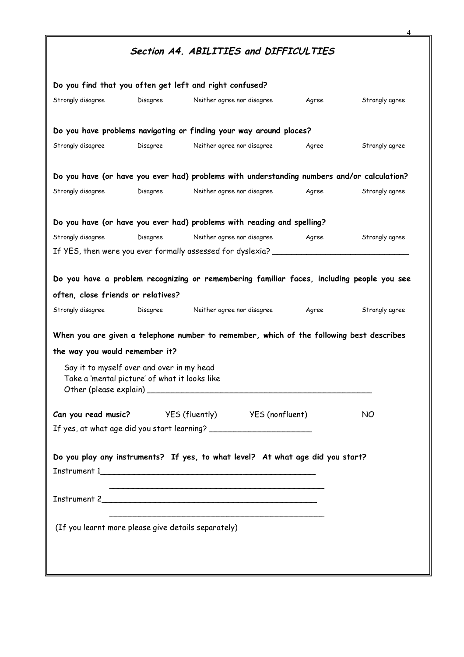|                                                                                            |          | Section A4. ABILITIES and DIFFICULTIES                                                     |       |                |
|--------------------------------------------------------------------------------------------|----------|--------------------------------------------------------------------------------------------|-------|----------------|
|                                                                                            |          | Do you find that you often get left and right confused?                                    |       |                |
| Strongly disagree                                                                          | Disagree | Neither agree nor disagree                                                                 | Agree | Strongly agree |
|                                                                                            |          | Do you have problems navigating or finding your way around places?                         |       |                |
| Strongly disagree                                                                          | Disagree | Neither agree nor disagree                                                                 | Agree | Strongly agree |
|                                                                                            |          | Do you have (or have you ever had) problems with understanding numbers and/or calculation? |       |                |
| Strongly disagree                                                                          | Disagree | Neither agree nor disagree                                                                 | Agree | Strongly agree |
|                                                                                            |          | Do you have (or have you ever had) problems with reading and spelling?                     |       |                |
| Strongly disagree                                                                          | Disagree | Neither agree nor disagree                                                                 | Agree | Strongly agree |
|                                                                                            |          | If YES, then were you ever formally assessed for dyslexia?                                 |       |                |
| the way you would remember it?                                                             |          | When you are given a telephone number to remember, which of the following best describes   |       |                |
| often, close friends or relatives?<br>Strongly disagree                                    |          | Disagree Neither agree nor disagree                                                        | Agree | Strongly agree |
| Say it to myself over and over in my head<br>Take a 'mental picture' of what it looks like |          |                                                                                            |       |                |
|                                                                                            |          |                                                                                            |       |                |
|                                                                                            |          | Can you read music? VES (fluently) VES (nonfluent)                                         |       | NO             |
|                                                                                            |          |                                                                                            |       |                |
|                                                                                            |          | Do you play any instruments? If yes, to what level? At what age did you start?             |       |                |
|                                                                                            |          |                                                                                            |       |                |
| (If you learnt more please give details separately)                                        |          |                                                                                            |       |                |
|                                                                                            |          |                                                                                            |       |                |
|                                                                                            |          |                                                                                            |       |                |

 $\Delta$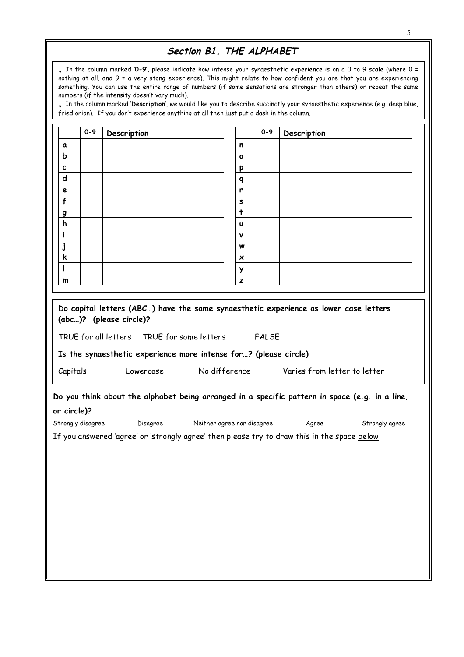## **Section B1. THE ALPHABET**

↓ In the column marked '**0-9**', please indicate how intense your synaesthetic experience is on a 0 to 9 scale (where 0 = nothing at all, and 9 = a very stong experience). This might relate to how confident you are that you are experiencing something. You can use the entire range of numbers (if some sensations are stronger than others) or repeat the same numbers (if the intensity doesn't vary much).

↓ In the column marked '**Description**', we would like you to describe succinctly your synaesthetic experience (e.g. deep blue, fried onion). If you don't experience anything at all then just put a dash in the column.

| a<br>$\mathbf b$                       |                                                                                                | n<br>o     |                                                      |                |
|----------------------------------------|------------------------------------------------------------------------------------------------|------------|------------------------------------------------------|----------------|
|                                        |                                                                                                |            |                                                      |                |
| c<br>d<br>e<br>f<br><u>g</u><br>h<br>i |                                                                                                |            |                                                      |                |
|                                        |                                                                                                | p          |                                                      |                |
|                                        |                                                                                                | q          |                                                      |                |
|                                        |                                                                                                | r          |                                                      |                |
|                                        |                                                                                                | s          |                                                      |                |
|                                        |                                                                                                | $\ddagger$ |                                                      |                |
|                                        |                                                                                                | u          |                                                      |                |
|                                        |                                                                                                | v          |                                                      |                |
| j                                      |                                                                                                | w          |                                                      |                |
| k                                      |                                                                                                | ×          |                                                      |                |
|                                        |                                                                                                | Y          |                                                      |                |
| m                                      |                                                                                                | z          |                                                      |                |
| Capitals                               |                                                                                                |            | Lowercase No difference Varies from letter to letter |                |
|                                        |                                                                                                |            |                                                      |                |
|                                        | Do you think about the alphabet being arranged in a specific pattern in space (e.g. in a line, |            |                                                      |                |
| or circle)?                            | Strongly disagree bisagree Neither agree nor disagree                                          |            | Agree                                                | Strongly agree |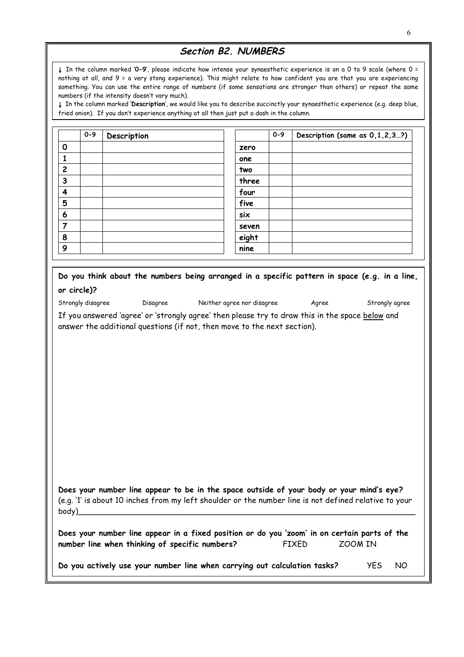## **Section B2. NUMBERS**

↓ In the column marked '**0-9**', please indicate how intense your synaesthetic experience is on a 0 to 9 scale (where 0 = nothing at all, and 9 = a very stong experience). This might relate to how confident you are that you are experiencing something. You can use the entire range of numbers (if some sensations are stronger than others) or repeat the same numbers (if the intensity doesn't vary much).

↓ In the column marked '**Description**', we would like you to describe succinctly your synaesthetic experience (e.g. deep blue, fried onion). If you don't experience anything at all then just put a dash in the column.

|                | $0 - 9$ | Description |       | $0 - 9$ | Description (same as 0,1,2,3?) |
|----------------|---------|-------------|-------|---------|--------------------------------|
| $\Omega$       |         |             | zero  |         |                                |
|                |         |             | one   |         |                                |
| $\overline{2}$ |         |             | two   |         |                                |
| 3              |         |             | three |         |                                |
| 4              |         |             | four  |         |                                |
| 5              |         |             | five  |         |                                |
| 6              |         |             | six   |         |                                |
| 7              |         |             | seven |         |                                |
| 8              |         |             | eight |         |                                |
| 9              |         |             | nine  |         |                                |

| Do you think about the numbers being arranged in a specific pattern in space (e.g. in a line, |  |  |  |  |  |
|-----------------------------------------------------------------------------------------------|--|--|--|--|--|
| or circle)?                                                                                   |  |  |  |  |  |

| Charles and the series of the contract of the contract of the contract of the contract of the contract of the contract of the contract of the contract of the contract of the contract of the contract of the contract of the |  |  |
|-------------------------------------------------------------------------------------------------------------------------------------------------------------------------------------------------------------------------------|--|--|

|  | rongly disagree |
|--|-----------------|
|  |                 |

Disagree Meither agree nor disagree Agree Strongly agree

If you answered 'agree' or 'strongly agree' then please try to draw this in the space below and answer the additional questions (if not, then move to the next section).

**Does your number line appear to be in the space outside of your body or your mind's eye?** (e.g. '1' is about 10 inches from my left shoulder or the number line is not defined relative to your body)\_\_\_\_\_\_\_\_\_\_\_\_\_\_\_\_\_\_\_\_\_\_\_\_\_\_\_\_\_\_\_\_\_\_\_\_\_\_\_\_\_\_\_\_\_\_\_\_\_\_\_\_\_\_\_\_\_\_\_\_\_\_\_\_\_\_\_\_\_

| Does your number line appear in a fixed position or do you 'zoom' in on certain parts of the |              |         |
|----------------------------------------------------------------------------------------------|--------------|---------|
| number line when thinking of specific numbers?                                               | <b>FIXED</b> | ZOOM IN |

**Do you actively use your number line when carrying out calculation tasks?** YES NO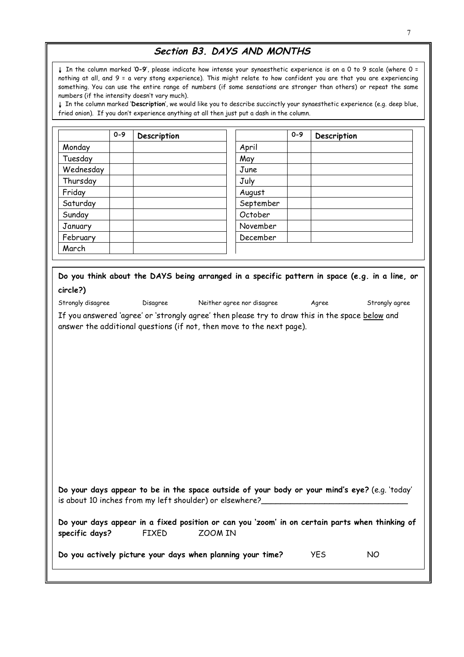## **Section B3. DAYS AND MONTHS**

↓ In the column marked '**0-9**', please indicate how intense your synaesthetic experience is on a 0 to 9 scale (where 0 = nothing at all, and 9 = a very stong experience). This might relate to how confident you are that you are experiencing something. You can use the entire range of numbers (if some sensations are stronger than others) or repeat the same numbers (if the intensity doesn't vary much).

↓ In the column marked '**Description**', we would like you to describe succinctly your synaesthetic experience (e.g. deep blue, fried onion). If you don't experience anything at all then just put a dash in the column.

|                | $0 - 9$ | Description  |                                                                                                                                                                          |           | $0 - 9$ | Description |    |  |
|----------------|---------|--------------|--------------------------------------------------------------------------------------------------------------------------------------------------------------------------|-----------|---------|-------------|----|--|
| Monday         |         |              | April                                                                                                                                                                    |           |         |             |    |  |
| Tuesday        |         |              | May                                                                                                                                                                      |           |         |             |    |  |
| Wednesday      |         |              | June                                                                                                                                                                     |           |         |             |    |  |
| Thursday       |         |              | July                                                                                                                                                                     |           |         |             |    |  |
| Friday         |         |              | August                                                                                                                                                                   |           |         |             |    |  |
| Saturday       |         |              |                                                                                                                                                                          | September |         |             |    |  |
| Sunday         |         |              | October                                                                                                                                                                  |           |         |             |    |  |
| January        |         |              |                                                                                                                                                                          | November  |         |             |    |  |
| February       |         |              |                                                                                                                                                                          | December  |         |             |    |  |
| March          |         |              |                                                                                                                                                                          |           |         |             |    |  |
|                |         |              |                                                                                                                                                                          |           |         |             |    |  |
|                |         |              | If you answered 'agree' or 'strongly agree' then please try to draw this in the space below and<br>answer the additional questions (if not, then move to the next page). |           |         |             |    |  |
|                |         |              |                                                                                                                                                                          |           |         |             |    |  |
|                |         |              |                                                                                                                                                                          |           |         |             |    |  |
|                |         |              |                                                                                                                                                                          |           |         |             |    |  |
|                |         |              |                                                                                                                                                                          |           |         |             |    |  |
|                |         |              |                                                                                                                                                                          |           |         |             |    |  |
|                |         |              |                                                                                                                                                                          |           |         |             |    |  |
|                |         |              |                                                                                                                                                                          |           |         |             |    |  |
|                |         |              |                                                                                                                                                                          |           |         |             |    |  |
|                |         |              |                                                                                                                                                                          |           |         |             |    |  |
|                |         |              |                                                                                                                                                                          |           |         |             |    |  |
|                |         |              |                                                                                                                                                                          |           |         |             |    |  |
|                |         |              |                                                                                                                                                                          |           |         |             |    |  |
|                |         |              |                                                                                                                                                                          |           |         |             |    |  |
|                |         |              |                                                                                                                                                                          |           |         |             |    |  |
|                |         |              | Do your days appear to be in the space outside of your body or your mind's eye? (e.g. 'today'<br>is about 10 inches from my left shoulder) or elsewhere?                 |           |         |             |    |  |
|                |         | <b>FIXED</b> | Do your days appear in a fixed position or can you 'zoom' in on certain parts when thinking of<br>ZOOM IN                                                                |           |         |             |    |  |
| specific days? |         |              |                                                                                                                                                                          |           |         |             |    |  |
|                |         |              | Do you actively picture your days when planning your time?                                                                                                               |           |         | <b>YES</b>  | NO |  |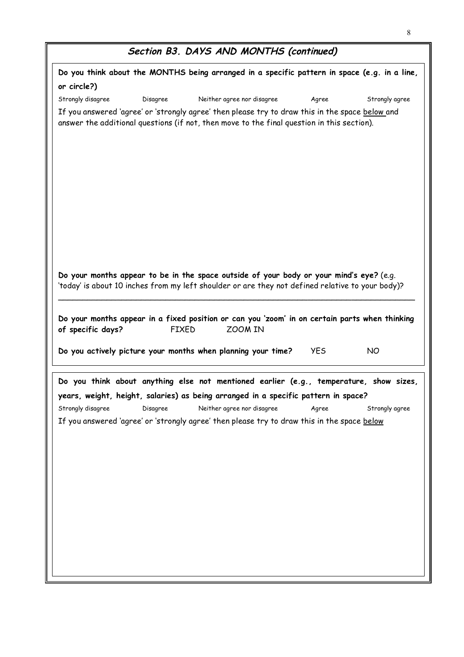| Section B3. DAYS AND MONTHS (continued) |  |  |  |  |
|-----------------------------------------|--|--|--|--|
|-----------------------------------------|--|--|--|--|

|                   |          | Do you think about the MONTHS being arranged in a specific pattern in space (e.g. in a line,                                                                                                  |            |                |
|-------------------|----------|-----------------------------------------------------------------------------------------------------------------------------------------------------------------------------------------------|------------|----------------|
| or circle?)       |          |                                                                                                                                                                                               |            |                |
| Strongly disagree | Disagree | Neither agree nor disagree                                                                                                                                                                    | Agree      | Strongly agree |
|                   |          | If you answered 'agree' or 'strongly agree' then please try to draw this in the space below and<br>answer the additional questions (if not, then move to the final question in this section). |            |                |
|                   |          | Do your months appear to be in the space outside of your body or your mind's eye? (e.g.<br>'today' is about 10 inches from my left shoulder or are they not defined relative to your body)?   |            |                |
|                   |          | Do your months appear in a fixed position or can you 'zoom' in on certain parts when thinking<br><b>FIXED</b><br>ZOOM IN<br>Do you actively picture your months when planning your time?      | <b>YES</b> | <b>NO</b>      |
|                   |          |                                                                                                                                                                                               |            |                |
|                   |          | Do you think about anything else not mentioned earlier (e.g., temperature, show sizes,                                                                                                        |            |                |
|                   |          | years, weight, height, salaries) as being arranged in a specific pattern in space?                                                                                                            |            |                |
| of specific days? |          | Strongly disagree bisagree Neither agree nor disagree Agree                                                                                                                                   |            | Strongly agree |
|                   |          | If you answered 'agree' or 'strongly agree' then please try to draw this in the space below                                                                                                   |            |                |
|                   |          |                                                                                                                                                                                               |            |                |
|                   |          |                                                                                                                                                                                               |            |                |
|                   |          |                                                                                                                                                                                               |            |                |
|                   |          |                                                                                                                                                                                               |            |                |
|                   |          |                                                                                                                                                                                               |            |                |
|                   |          |                                                                                                                                                                                               |            |                |
|                   |          |                                                                                                                                                                                               |            |                |
|                   |          |                                                                                                                                                                                               |            |                |
|                   |          |                                                                                                                                                                                               |            |                |
|                   |          |                                                                                                                                                                                               |            |                |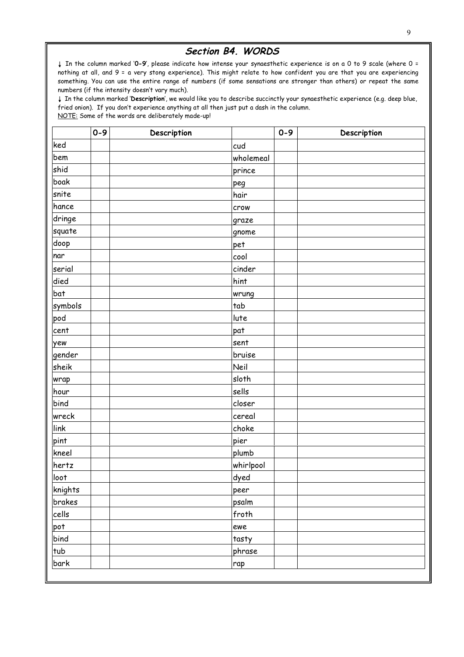#### **Section B4. WORDS**

↓ In the column marked '**0-9**', please indicate how intense your synaesthetic experience is on a 0 to 9 scale (where 0 = nothing at all, and 9 = a very stong experience). This might relate to how confident you are that you are experiencing something. You can use the entire range of numbers (if some sensations are stronger than others) or repeat the same numbers (if the intensity doesn't vary much).

↓ In the column marked '**Description**', we would like you to describe succinctly your synaesthetic experience (e.g. deep blue, fried onion). If you don't experience anything at all then just put a dash in the column. NOTE: Some of the words are deliberately made-up!

|         | $0 - 9$ | Description |           | $0 - 9$ | Description |
|---------|---------|-------------|-----------|---------|-------------|
| ked     |         |             | cud       |         |             |
| bem     |         |             | wholemeal |         |             |
| shid    |         |             | prince    |         |             |
| boak    |         |             | peg       |         |             |
| snite   |         |             | hair      |         |             |
| hance   |         |             | crow      |         |             |
| dringe  |         |             | graze     |         |             |
| squate  |         |             | gnome     |         |             |
| doop    |         |             | pet       |         |             |
| nar     |         |             | cool      |         |             |
| serial  |         |             | cinder    |         |             |
| died    |         |             | hint      |         |             |
| bat     |         |             | wrung     |         |             |
| symbols |         |             | tab       |         |             |
| pod     |         |             | lute      |         |             |
| cent    |         |             | pat       |         |             |
| yew     |         |             | sent      |         |             |
| gender  |         |             | bruise    |         |             |
| sheik   |         |             | Neil      |         |             |
| wrap    |         |             | sloth     |         |             |
| hour    |         |             | sells     |         |             |
| bind    |         |             | closer    |         |             |
| wreck   |         |             | cereal    |         |             |
| link    |         |             | choke     |         |             |
| pint    |         |             | pier      |         |             |
| kneel   |         |             | plumb     |         |             |
| hertz   |         |             | whirlpool |         |             |
| loot    |         |             | dyed      |         |             |
| knights |         |             | peer      |         |             |
| brakes  |         |             | psalm     |         |             |
| cells   |         |             | froth     |         |             |
| pot     |         |             | ewe       |         |             |
| bind    |         |             | tasty     |         |             |
| tub     |         |             | phrase    |         |             |
| bark    |         |             | rap       |         |             |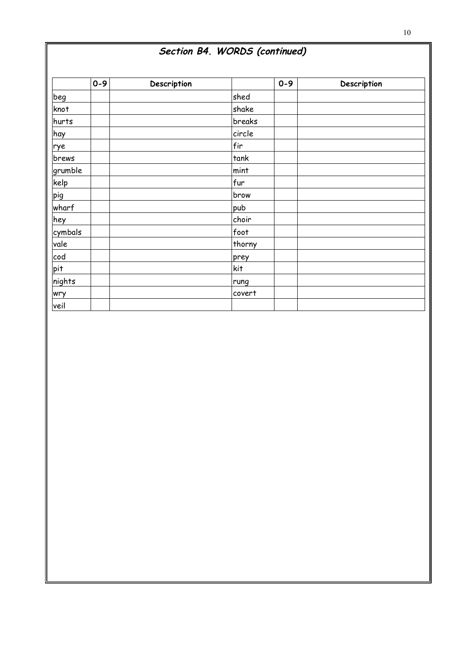|         | $0 - 9$ | Description |        | $0 - 9$ | Description |
|---------|---------|-------------|--------|---------|-------------|
| beg     |         |             | shed   |         |             |
| knot    |         |             | shake  |         |             |
| hurts   |         |             | breaks |         |             |
| hay     |         |             | circle |         |             |
| rye     |         |             | fir    |         |             |
| brews   |         |             | tank   |         |             |
| grumble |         |             | mint   |         |             |
| kelp    |         |             | fur    |         |             |
| pig     |         |             | brow   |         |             |
| wharf   |         |             | pub    |         |             |
| hey     |         |             | choir  |         |             |
| cymbals |         |             | foot   |         |             |
| vale    |         |             | thorny |         |             |
| cod     |         |             | prey   |         |             |
| pit     |         |             | kit    |         |             |
| nights  |         |             | rung   |         |             |
| wry     |         |             | covert |         |             |
| veil    |         |             |        |         |             |

### 10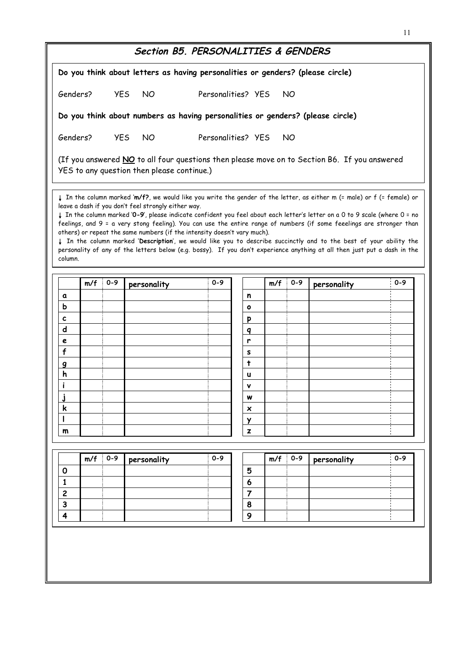|                |     |           | Do you think about letters as having personalities or genders? (please circle)                                                                                                                                                                                                                                                                                                                                                                                                                                                                                                                                                                                                                                                                                    |                    |                |     |         |             |         |
|----------------|-----|-----------|-------------------------------------------------------------------------------------------------------------------------------------------------------------------------------------------------------------------------------------------------------------------------------------------------------------------------------------------------------------------------------------------------------------------------------------------------------------------------------------------------------------------------------------------------------------------------------------------------------------------------------------------------------------------------------------------------------------------------------------------------------------------|--------------------|----------------|-----|---------|-------------|---------|
| Genders?       |     |           | YES NO                                                                                                                                                                                                                                                                                                                                                                                                                                                                                                                                                                                                                                                                                                                                                            | Personalities? YES |                |     | NO.     |             |         |
|                |     |           | Do you think about numbers as having personalities or genders? (please circle)                                                                                                                                                                                                                                                                                                                                                                                                                                                                                                                                                                                                                                                                                    |                    |                |     |         |             |         |
| Genders?       |     |           | YES NO                                                                                                                                                                                                                                                                                                                                                                                                                                                                                                                                                                                                                                                                                                                                                            | Personalities? YES |                |     | NO.     |             |         |
|                |     |           | (If you answered NO to all four questions then please move on to Section B6. If you answered<br>YES to any question then please continue.)                                                                                                                                                                                                                                                                                                                                                                                                                                                                                                                                                                                                                        |                    |                |     |         |             |         |
| column.        |     |           | ↓ In the column marked 'm/f?, we would like you write the gender of the letter, as either m (= male) or f (= female) or<br>leave a dash if you don't feel strongly either way.<br>In the column marked '0-9', please indicate confident you feel about each letter's letter on a 0 to 9 scale (where 0 = no<br>feelings, and 9 = a very stong feeling). You can use the entire range of numbers (if some feeelings are stronger than<br>others) or repeat the same numbers (if the intensity doesn't vary much).<br>In the column marked 'Description', we would like you to describe succinctly and to the best of your ability the<br>personality of any of the letters below (e.g. bossy). If you don't experience anything at all then just put a dash in the |                    |                |     |         |             |         |
|                |     | $m/f$ 0-9 | personality                                                                                                                                                                                                                                                                                                                                                                                                                                                                                                                                                                                                                                                                                                                                                       | $0 - 9$            |                | m/f | $0 - 9$ | personality | $0 - 9$ |
|                |     |           |                                                                                                                                                                                                                                                                                                                                                                                                                                                                                                                                                                                                                                                                                                                                                                   |                    |                |     |         |             |         |
|                |     |           |                                                                                                                                                                                                                                                                                                                                                                                                                                                                                                                                                                                                                                                                                                                                                                   |                    |                |     |         |             |         |
| a<br>ь         |     |           |                                                                                                                                                                                                                                                                                                                                                                                                                                                                                                                                                                                                                                                                                                                                                                   |                    | n<br>$\bullet$ |     |         |             |         |
| c              |     |           |                                                                                                                                                                                                                                                                                                                                                                                                                                                                                                                                                                                                                                                                                                                                                                   |                    |                |     |         |             |         |
| d              |     |           |                                                                                                                                                                                                                                                                                                                                                                                                                                                                                                                                                                                                                                                                                                                                                                   |                    | p<br>q         |     |         |             |         |
| e              |     |           |                                                                                                                                                                                                                                                                                                                                                                                                                                                                                                                                                                                                                                                                                                                                                                   |                    | r              |     |         |             |         |
| f              |     |           |                                                                                                                                                                                                                                                                                                                                                                                                                                                                                                                                                                                                                                                                                                                                                                   |                    | s              |     |         |             |         |
| g              |     |           |                                                                                                                                                                                                                                                                                                                                                                                                                                                                                                                                                                                                                                                                                                                                                                   |                    | t              |     |         |             |         |
| ь              |     |           |                                                                                                                                                                                                                                                                                                                                                                                                                                                                                                                                                                                                                                                                                                                                                                   |                    |                |     |         |             |         |
| i              |     |           |                                                                                                                                                                                                                                                                                                                                                                                                                                                                                                                                                                                                                                                                                                                                                                   |                    | ٧              |     |         |             |         |
|                |     |           |                                                                                                                                                                                                                                                                                                                                                                                                                                                                                                                                                                                                                                                                                                                                                                   |                    | W              |     |         |             |         |
| k              |     |           |                                                                                                                                                                                                                                                                                                                                                                                                                                                                                                                                                                                                                                                                                                                                                                   |                    | ×<br>Y         |     |         |             |         |
| m              |     |           |                                                                                                                                                                                                                                                                                                                                                                                                                                                                                                                                                                                                                                                                                                                                                                   |                    | $\mathbf{z}$   |     |         |             |         |
|                | m/f | $0 - 9$   |                                                                                                                                                                                                                                                                                                                                                                                                                                                                                                                                                                                                                                                                                                                                                                   | $0 - 9$            |                |     | $0 - 9$ |             | $0 - 9$ |
| O              |     |           | personality                                                                                                                                                                                                                                                                                                                                                                                                                                                                                                                                                                                                                                                                                                                                                       |                    | 5              | m/f |         | personality |         |
| 1              |     |           |                                                                                                                                                                                                                                                                                                                                                                                                                                                                                                                                                                                                                                                                                                                                                                   |                    | 6              |     |         |             |         |
| $\overline{c}$ |     |           |                                                                                                                                                                                                                                                                                                                                                                                                                                                                                                                                                                                                                                                                                                                                                                   |                    | $\overline{7}$ |     |         |             |         |
| 3<br>4         |     |           |                                                                                                                                                                                                                                                                                                                                                                                                                                                                                                                                                                                                                                                                                                                                                                   |                    | 8<br>9         |     |         |             |         |